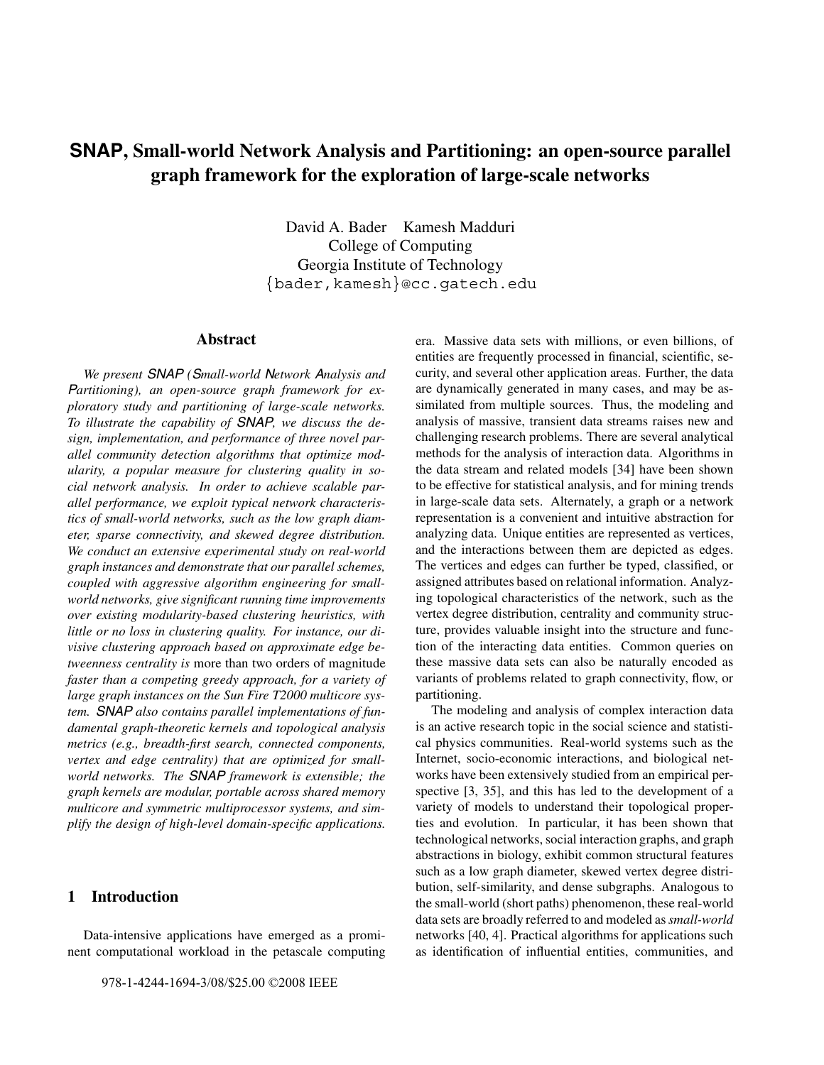# **SNAP, Small-world Network Analysis and Partitioning: an open-source parallel graph framework for the exploration of large-scale networks**

David A. Bader Kamesh Madduri College of Computing Georgia Institute of Technology {bader,kamesh}@cc.gatech.edu

# **Abstract**

*We present* SNAP *(*S*mall-world* N*etwork* A*nalysis and* P*artitioning), an open-source graph framework for exploratory study and partitioning of large-scale networks. To illustrate the capability of* SNAP*, we discuss the design, implementation, and performance of three novel parallel community detection algorithms that optimize modularity, a popular measure for clustering quality in social network analysis. In order to achieve scalable parallel performance, we exploit typical network characteristics of small-world networks, such as the low graph diameter, sparse connectivity, and skewed degree distribution. We conduct an extensive experimental study on real-world graph instances and demonstrate that our parallel schemes, coupled with aggressive algorithm engineering for smallworld networks, give significant running time improvements over existing modularity-based clustering heuristics, with little or no loss in clustering quality. For instance, our divisive clustering approach based on approximate edge betweenness centrality is* more than two orders of magnitude *faster than a competing greedy approach, for a variety of large graph instances on the Sun Fire T2000 multicore system.* SNAP *also contains parallel implementations of fundamental graph-theoretic kernels and topological analysis metrics (e.g., breadth-first search, connected components, vertex and edge centrality) that are optimized for smallworld networks. The* SNAP *framework is extensible; the graph kernels are modular, portable across shared memory multicore and symmetric multiprocessor systems, and simplify the design of high-level domain-specific applications.*

# **1 Introduction**

Data-intensive applications have emerged as a prominent computational workload in the petascale computing era. Massive data sets with millions, or even billions, of entities are frequently processed in financial, scientific, security, and several other application areas. Further, the data are dynamically generated in many cases, and may be assimilated from multiple sources. Thus, the modeling and analysis of massive, transient data streams raises new and challenging research problems. There are several analytical methods for the analysis of interaction data. Algorithms in the data stream and related models [34] have been shown to be effective for statistical analysis, and for mining trends in large-scale data sets. Alternately, a graph or a network representation is a convenient and intuitive abstraction for analyzing data. Unique entities are represented as vertices, and the interactions between them are depicted as edges. The vertices and edges can further be typed, classified, or assigned attributes based on relational information. Analyzing topological characteristics of the network, such as the vertex degree distribution, centrality and community structure, provides valuable insight into the structure and function of the interacting data entities. Common queries on these massive data sets can also be naturally encoded as variants of problems related to graph connectivity, flow, or partitioning.

The modeling and analysis of complex interaction data is an active research topic in the social science and statistical physics communities. Real-world systems such as the Internet, socio-economic interactions, and biological networks have been extensively studied from an empirical perspective [3, 35], and this has led to the development of a variety of models to understand their topological properties and evolution. In particular, it has been shown that technological networks, social interaction graphs, and graph abstractions in biology, exhibit common structural features such as a low graph diameter, skewed vertex degree distribution, self-similarity, and dense subgraphs. Analogous to the small-world (short paths) phenomenon, these real-world data sets are broadly referred to and modeled as*small-world* networks [40, 4]. Practical algorithms for applications such as identification of influential entities, communities, and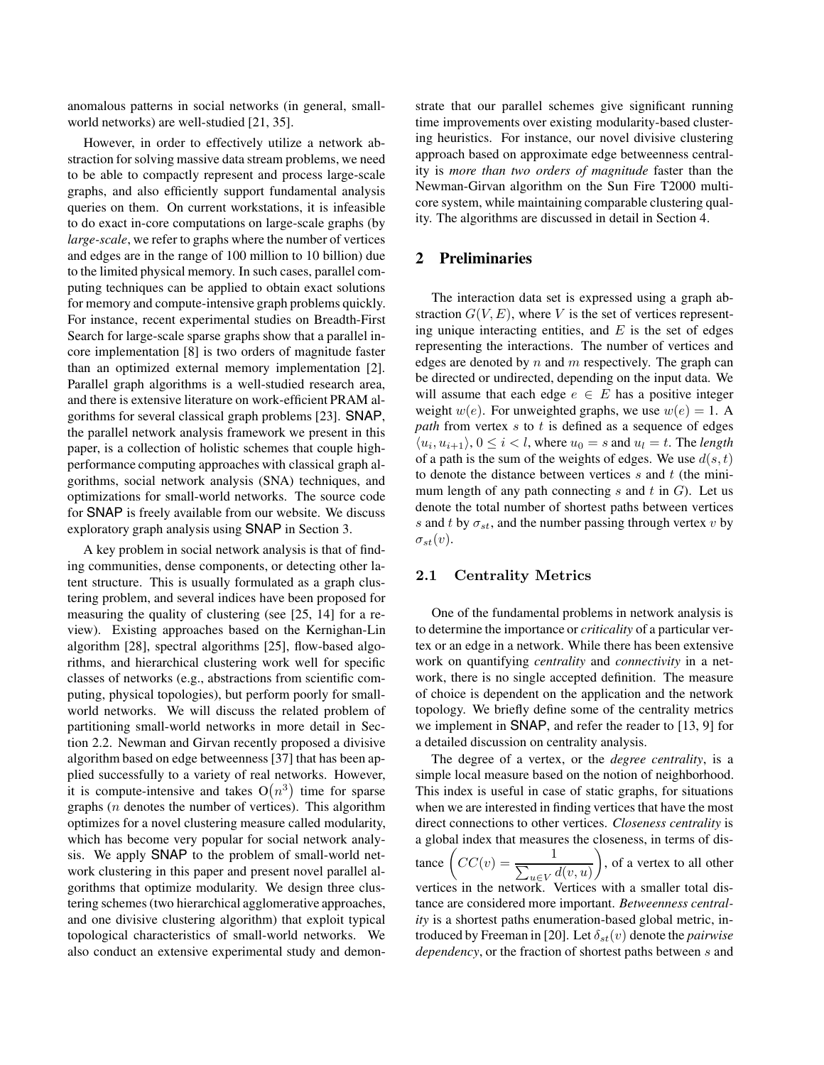anomalous patterns in social networks (in general, smallworld networks) are well-studied [21, 35].

However, in order to effectively utilize a network abstraction for solving massive data stream problems, we need to be able to compactly represent and process large-scale graphs, and also efficiently support fundamental analysis queries on them. On current workstations, it is infeasible to do exact in-core computations on large-scale graphs (by *large-scale*, we refer to graphs where the number of vertices and edges are in the range of 100 million to 10 billion) due to the limited physical memory. In such cases, parallel computing techniques can be applied to obtain exact solutions for memory and compute-intensive graph problems quickly. For instance, recent experimental studies on Breadth-First Search for large-scale sparse graphs show that a parallel incore implementation [8] is two orders of magnitude faster than an optimized external memory implementation [2]. Parallel graph algorithms is a well-studied research area, and there is extensive literature on work-efficient PRAM algorithms for several classical graph problems [23]. SNAP, the parallel network analysis framework we present in this paper, is a collection of holistic schemes that couple highperformance computing approaches with classical graph algorithms, social network analysis (SNA) techniques, and optimizations for small-world networks. The source code for SNAP is freely available from our website. We discuss exploratory graph analysis using SNAP in Section 3.

A key problem in social network analysis is that of finding communities, dense components, or detecting other latent structure. This is usually formulated as a graph clustering problem, and several indices have been proposed for measuring the quality of clustering (see [25, 14] for a review). Existing approaches based on the Kernighan-Lin algorithm [28], spectral algorithms [25], flow-based algorithms, and hierarchical clustering work well for specific classes of networks (e.g., abstractions from scientific computing, physical topologies), but perform poorly for smallworld networks. We will discuss the related problem of partitioning small-world networks in more detail in Section 2.2. Newman and Girvan recently proposed a divisive algorithm based on edge betweenness [37] that has been applied successfully to a variety of real networks. However, it is compute-intensive and takes  $O(n^3)$  time for sparse graphs (n denotes the number of vertices). This algorithm optimizes for a novel clustering measure called modularity, which has become very popular for social network analysis. We apply SNAP to the problem of small-world network clustering in this paper and present novel parallel algorithms that optimize modularity. We design three clustering schemes (two hierarchical agglomerative approaches, and one divisive clustering algorithm) that exploit typical topological characteristics of small-world networks. We also conduct an extensive experimental study and demonstrate that our parallel schemes give significant running time improvements over existing modularity-based clustering heuristics. For instance, our novel divisive clustering approach based on approximate edge betweenness centrality is *more than two orders of magnitude* faster than the Newman-Girvan algorithm on the Sun Fire T2000 multicore system, while maintaining comparable clustering quality. The algorithms are discussed in detail in Section 4.

# **2 Preliminaries**

The interaction data set is expressed using a graph abstraction  $G(V, E)$ , where V is the set of vertices representing unique interacting entities, and  $E$  is the set of edges representing the interactions. The number of vertices and edges are denoted by  $n$  and  $m$  respectively. The graph can be directed or undirected, depending on the input data. We will assume that each edge  $e \in E$  has a positive integer weight  $w(e)$ . For unweighted graphs, we use  $w(e) = 1$ . A *path* from vertex s to t is defined as a sequence of edges  $\langle u_i, u_{i+1} \rangle$ ,  $0 \le i < l$ , where  $u_0 = s$  and  $u_l = t$ . The *length* of a path is the sum of the weights of edges. We use  $d(s, t)$ of a path is the sum of the weights of edges. We use  $d(s, t)$ to denote the distance between vertices  $s$  and  $t$  (the minimum length of any path connecting s and t in  $G$ ). Let us denote the total number of shortest paths between vertices s and t by  $\sigma_{st}$ , and the number passing through vertex v by  $\sigma_{st}(v)$ .

## **2.1 Centrality Metrics**

One of the fundamental problems in network analysis is to determine the importance or *criticality* of a particular vertex or an edge in a network. While there has been extensive work on quantifying *centrality* and *connectivity* in a network, there is no single accepted definition. The measure of choice is dependent on the application and the network topology. We briefly define some of the centrality metrics we implement in SNAP, and refer the reader to [13, 9] for a detailed discussion on centrality analysis.

The degree of a vertex, or the *degree centrality*, is a simple local measure based on the notion of neighborhood. This index is useful in case of static graphs, for situations when we are interested in finding vertices that have the most direct connections to other vertices. *Closeness centrality* is a global index that measures the closeness, in terms of distance  $\left( CC(v) = \frac{1}{\sum_{u \in V} d(v, u)} \right)$ <br>vertices in the network Vertices ), of a vertex to all other vertices in the network. Vertices with a smaller total distance are considered more important. *Betweenness centrality* is a shortest paths enumeration-based global metric, introduced by Freeman in [20]. Let  $\delta_{st}(v)$  denote the *pairwise dependency*, or the fraction of shortest paths between s and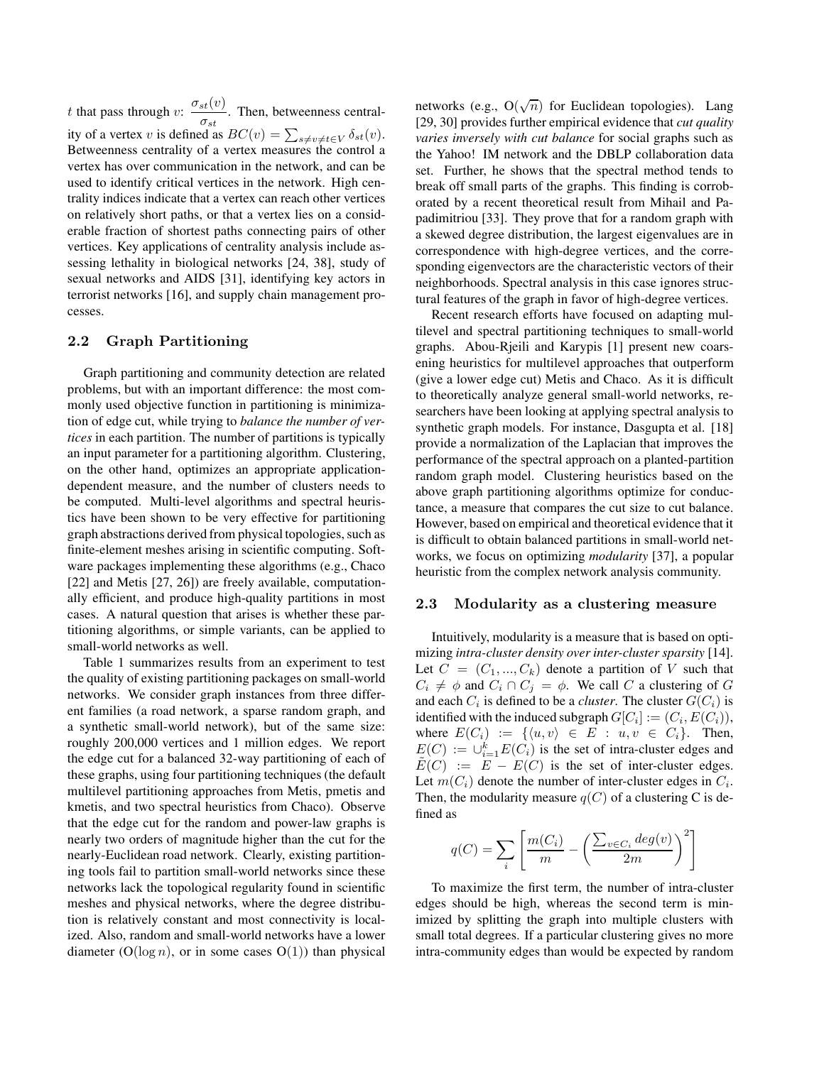t that pass through v:  $\frac{\sigma_{st}(v)}{\sigma_{st}}$ . Then, betweenness centrality of a vertex v is defined as  $BC(v) = \sum_{s \neq v \neq t \in V} \delta_{st}(v)$ .<br>Betweenness centrality of a vertex measures the control a Betweenness centrality of a vertex measures the control a vertex has over communication in the network, and can be used to identify critical vertices in the network. High centrality indices indicate that a vertex can reach other vertices on relatively short paths, or that a vertex lies on a considerable fraction of shortest paths connecting pairs of other vertices. Key applications of centrality analysis include assessing lethality in biological networks [24, 38], study of sexual networks and AIDS [31], identifying key actors in terrorist networks [16], and supply chain management processes.

# **2.2 Graph Partitioning**

Graph partitioning and community detection are related problems, but with an important difference: the most commonly used objective function in partitioning is minimization of edge cut, while trying to *balance the number of vertices* in each partition. The number of partitions is typically an input parameter for a partitioning algorithm. Clustering, on the other hand, optimizes an appropriate applicationdependent measure, and the number of clusters needs to be computed. Multi-level algorithms and spectral heuristics have been shown to be very effective for partitioning graph abstractions derived from physical topologies, such as finite-element meshes arising in scientific computing. Software packages implementing these algorithms (e.g., Chaco [22] and Metis [27, 26]) are freely available, computationally efficient, and produce high-quality partitions in most cases. A natural question that arises is whether these partitioning algorithms, or simple variants, can be applied to small-world networks as well.

Table 1 summarizes results from an experiment to test the quality of existing partitioning packages on small-world networks. We consider graph instances from three different families (a road network, a sparse random graph, and a synthetic small-world network), but of the same size: roughly 200,000 vertices and 1 million edges. We report the edge cut for a balanced 32-way partitioning of each of these graphs, using four partitioning techniques (the default multilevel partitioning approaches from Metis, pmetis and kmetis, and two spectral heuristics from Chaco). Observe that the edge cut for the random and power-law graphs is nearly two orders of magnitude higher than the cut for the nearly-Euclidean road network. Clearly, existing partitioning tools fail to partition small-world networks since these networks lack the topological regularity found in scientific meshes and physical networks, where the degree distribution is relatively constant and most connectivity is localized. Also, random and small-world networks have a lower diameter  $(O(\log n))$ , or in some cases  $O(1)$  than physical

networks (e.g.,  $O(\sqrt{n})$  for Euclidean topologies). Lang<br>[29, 30] provides further empirical evidence that *cut quality* [29, 30] provides further empirical evidence that *cut quality varies inversely with cut balance* for social graphs such as the Yahoo! IM network and the DBLP collaboration data set. Further, he shows that the spectral method tends to break off small parts of the graphs. This finding is corroborated by a recent theoretical result from Mihail and Papadimitriou [33]. They prove that for a random graph with a skewed degree distribution, the largest eigenvalues are in correspondence with high-degree vertices, and the corresponding eigenvectors are the characteristic vectors of their neighborhoods. Spectral analysis in this case ignores structural features of the graph in favor of high-degree vertices.

Recent research efforts have focused on adapting multilevel and spectral partitioning techniques to small-world graphs. Abou-Rjeili and Karypis [1] present new coarsening heuristics for multilevel approaches that outperform (give a lower edge cut) Metis and Chaco. As it is difficult to theoretically analyze general small-world networks, researchers have been looking at applying spectral analysis to synthetic graph models. For instance, Dasgupta et al. [18] provide a normalization of the Laplacian that improves the performance of the spectral approach on a planted-partition random graph model. Clustering heuristics based on the above graph partitioning algorithms optimize for conductance, a measure that compares the cut size to cut balance. However, based on empirical and theoretical evidence that it is difficult to obtain balanced partitions in small-world networks, we focus on optimizing *modularity* [37], a popular heuristic from the complex network analysis community.

#### **2.3 Modularity as a clustering measure**

Intuitively, modularity is a measure that is based on optimizing *intra-cluster density over inter-cluster sparsity* [14]. Let  $C = (C_1, ..., C_k)$  denote a partition of V such that  $C_i \neq \phi$  and  $C_i \cap C_j = \phi$ . We call C a clustering of G and each  $C_i$  is defined to be a *cluster*. The cluster  $G(C_i)$  is identified with the induced subgraph  $G[C_i] := (C_i, E(C_i)),$ where  $E(C_i) := \{ \langle u, v \rangle \in E : u, v \in C_i \}.$  Then,<br> $E(C) := \bigcup_{k=0}^{k} E(C_k)$  is the set of intra-cluster edges and  $E(C) := \bigcup_{i=1}^{k} E(C_i)$  is the set of intra-cluster edges and  $E(C) := E - E(C)$  is the set of inter-cluster edges  $\tilde{E}(C) := E - E(C)$  is the set of inter-cluster edges. Let  $m(C_i)$  denote the number of inter-cluster edges in  $C_i$ . Then, the modularity measure  $q(C)$  of a clustering C is defined as

$$
q(C) = \sum_{i} \left[ \frac{m(C_i)}{m} - \left( \frac{\sum_{v \in C_i} deg(v)}{2m} \right)^2 \right]
$$

To maximize the first term, the number of intra-cluster edges should be high, whereas the second term is minimized by splitting the graph into multiple clusters with small total degrees. If a particular clustering gives no more intra-community edges than would be expected by random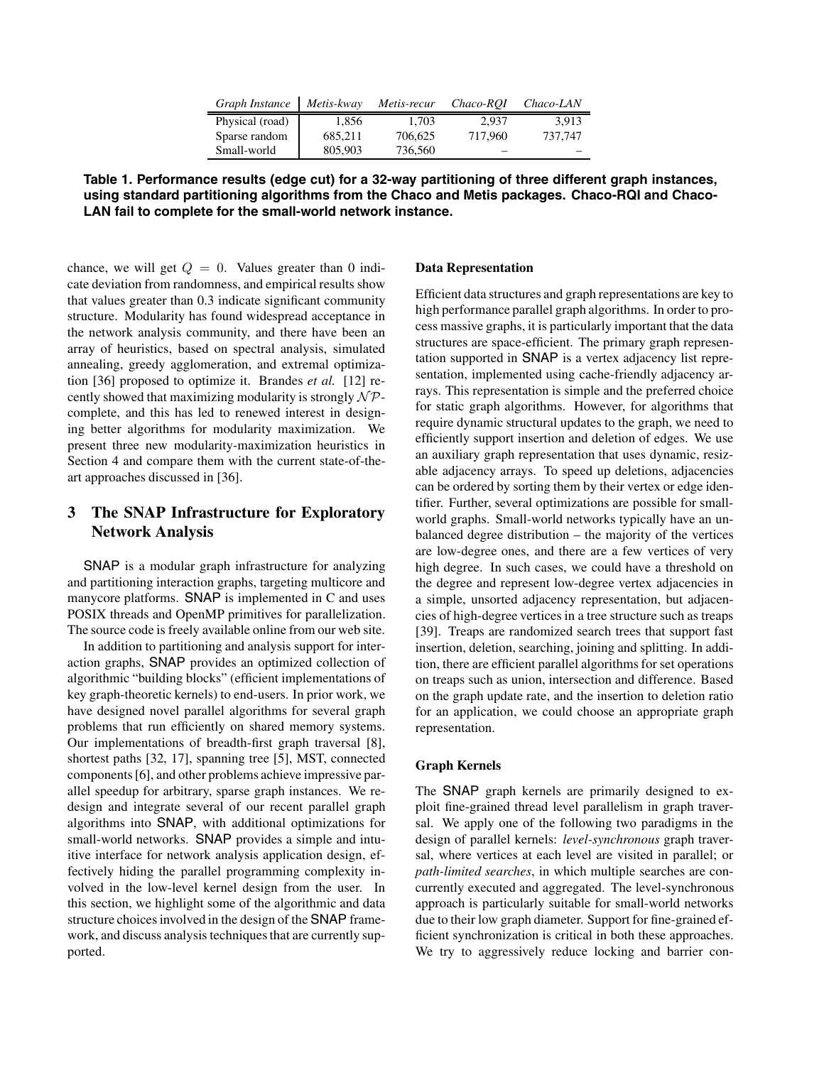| Graph Instance  | Metis-kway | Metis-recur | Chaco-ROI | Chaco-LAN |
|-----------------|------------|-------------|-----------|-----------|
| Physical (road) | 1.856      | 1.703       | 2.937     | 3.913     |
| Sparse random   | 685,211    | 706,625     | 717,960   | 737.747   |
| Small-world     | 805,903    | 736,560     |           |           |

**Table 1. Performance results (edge cut) for a 32-way partitioning of three different graph instances, using standard partitioning algorithms from the Chaco and Metis packages. Chaco-RQI and Chaco-LAN fail to complete for the small-world network instance.**

chance, we will get  $Q = 0$ . Values greater than 0 indicate deviation from randomness, and empirical results show that values greater than 0.3 indicate significant community structure. Modularity has found widespread acceptance in the network analysis community, and there have been an array of heuristics, based on spectral analysis, simulated annealing, greedy agglomeration, and extremal optimization [36] proposed to optimize it. Brandes *et al.* [12] recently showed that maximizing modularity is strongly  $N\mathcal{P}$ complete, and this has led to renewed interest in designing better algorithms for modularity maximization. We present three new modularity-maximization heuristics in Section 4 and compare them with the current state-of-theart approaches discussed in [36].

# **3 The SNAP Infrastructure for Exploratory Network Analysis**

SNAP is a modular graph infrastructure for analyzing and partitioning interaction graphs, targeting multicore and manycore platforms. SNAP is implemented in C and uses POSIX threads and OpenMP primitives for parallelization. The source code is freely available online from our web site.

In addition to partitioning and analysis support for interaction graphs, SNAP provides an optimized collection of algorithmic "building blocks" (efficient implementations of key graph-theoretic kernels) to end-users. In prior work, we have designed novel parallel algorithms for several graph problems that run efficiently on shared memory systems. Our implementations of breadth-first graph traversal [8], shortest paths [32, 17], spanning tree [5], MST, connected components [6], and other problems achieve impressive parallel speedup for arbitrary, sparse graph instances. We redesign and integrate several of our recent parallel graph algorithms into SNAP, with additional optimizations for small-world networks. SNAP provides a simple and intuitive interface for network analysis application design, effectively hiding the parallel programming complexity involved in the low-level kernel design from the user. In this section, we highlight some of the algorithmic and data structure choices involved in the design of the SNAP framework, and discuss analysis techniques that are currently supported.

#### **Data Representation**

Efficient data structures and graph representations are key to high performance parallel graph algorithms. In order to process massive graphs, it is particularly important that the data structures are space-efficient. The primary graph representation supported in SNAP is a vertex adjacency list representation, implemented using cache-friendly adjacency arrays. This representation is simple and the preferred choice for static graph algorithms. However, for algorithms that require dynamic structural updates to the graph, we need to efficiently support insertion and deletion of edges. We use an auxiliary graph representation that uses dynamic, resizable adjacency arrays. To speed up deletions, adjacencies can be ordered by sorting them by their vertex or edge identifier. Further, several optimizations are possible for smallworld graphs. Small-world networks typically have an unbalanced degree distribution – the majority of the vertices are low-degree ones, and there are a few vertices of very high degree. In such cases, we could have a threshold on the degree and represent low-degree vertex adjacencies in a simple, unsorted adjacency representation, but adjacencies of high-degree vertices in a tree structure such as treaps [39]. Treaps are randomized search trees that support fast insertion, deletion, searching, joining and splitting. In addition, there are efficient parallel algorithms for set operations on treaps such as union, intersection and difference. Based on the graph update rate, and the insertion to deletion ratio for an application, we could choose an appropriate graph representation.

#### **Graph Kernels**

The SNAP graph kernels are primarily designed to exploit fine-grained thread level parallelism in graph traversal. We apply one of the following two paradigms in the design of parallel kernels: *level-synchronous* graph traversal, where vertices at each level are visited in parallel; or *path-limited searches*, in which multiple searches are concurrently executed and aggregated. The level-synchronous approach is particularly suitable for small-world networks due to their low graph diameter. Support for fine-grained efficient synchronization is critical in both these approaches. We try to aggressively reduce locking and barrier con-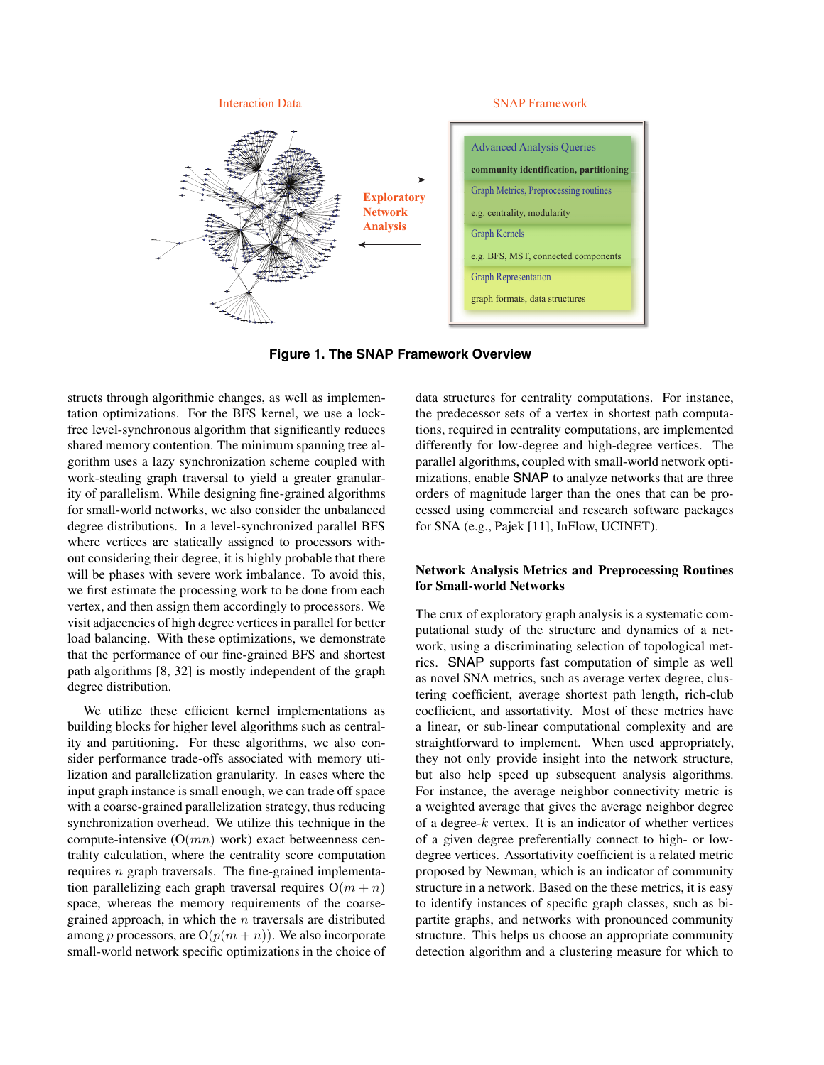

**Figure 1. The SNAP Framework Overview**

structs through algorithmic changes, as well as implementation optimizations. For the BFS kernel, we use a lockfree level-synchronous algorithm that significantly reduces shared memory contention. The minimum spanning tree algorithm uses a lazy synchronization scheme coupled with work-stealing graph traversal to yield a greater granularity of parallelism. While designing fine-grained algorithms for small-world networks, we also consider the unbalanced degree distributions. In a level-synchronized parallel BFS where vertices are statically assigned to processors without considering their degree, it is highly probable that there will be phases with severe work imbalance. To avoid this, we first estimate the processing work to be done from each vertex, and then assign them accordingly to processors. We visit adjacencies of high degree vertices in parallel for better load balancing. With these optimizations, we demonstrate that the performance of our fine-grained BFS and shortest path algorithms [8, 32] is mostly independent of the graph degree distribution.

We utilize these efficient kernel implementations as building blocks for higher level algorithms such as centrality and partitioning. For these algorithms, we also consider performance trade-offs associated with memory utilization and parallelization granularity. In cases where the input graph instance is small enough, we can trade off space with a coarse-grained parallelization strategy, thus reducing synchronization overhead. We utilize this technique in the compute-intensive  $(O(mn)$  work) exact betweenness centrality calculation, where the centrality score computation requires  $n$  graph traversals. The fine-grained implementation parallelizing each graph traversal requires  $O(m + n)$ space, whereas the memory requirements of the coarsegrained approach, in which the  $n$  traversals are distributed among p processors, are  $O(p(m+n))$ . We also incorporate small-world network specific optimizations in the choice of data structures for centrality computations. For instance, the predecessor sets of a vertex in shortest path computations, required in centrality computations, are implemented differently for low-degree and high-degree vertices. The parallel algorithms, coupled with small-world network optimizations, enable SNAP to analyze networks that are three orders of magnitude larger than the ones that can be processed using commercial and research software packages for SNA (e.g., Pajek [11], InFlow, UCINET).

#### **Network Analysis Metrics and Preprocessing Routines for Small-world Networks**

The crux of exploratory graph analysis is a systematic computational study of the structure and dynamics of a network, using a discriminating selection of topological metrics. SNAP supports fast computation of simple as well as novel SNA metrics, such as average vertex degree, clustering coefficient, average shortest path length, rich-club coefficient, and assortativity. Most of these metrics have a linear, or sub-linear computational complexity and are straightforward to implement. When used appropriately, they not only provide insight into the network structure, but also help speed up subsequent analysis algorithms. For instance, the average neighbor connectivity metric is a weighted average that gives the average neighbor degree of a degree- $k$  vertex. It is an indicator of whether vertices of a given degree preferentially connect to high- or lowdegree vertices. Assortativity coefficient is a related metric proposed by Newman, which is an indicator of community structure in a network. Based on the these metrics, it is easy to identify instances of specific graph classes, such as bipartite graphs, and networks with pronounced community structure. This helps us choose an appropriate community detection algorithm and a clustering measure for which to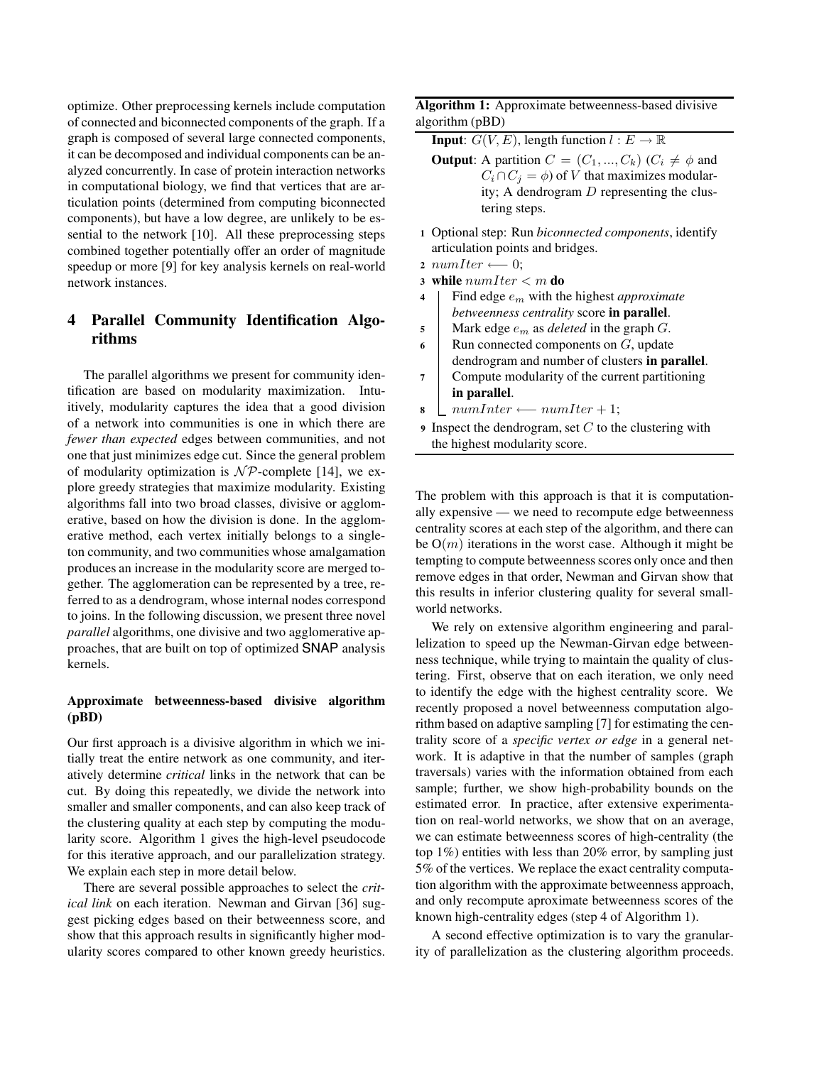optimize. Other preprocessing kernels include computation of connected and biconnected components of the graph. If a graph is composed of several large connected components, it can be decomposed and individual components can be analyzed concurrently. In case of protein interaction networks in computational biology, we find that vertices that are articulation points (determined from computing biconnected components), but have a low degree, are unlikely to be essential to the network [10]. All these preprocessing steps combined together potentially offer an order of magnitude speedup or more [9] for key analysis kernels on real-world network instances.

# **4 Parallel Community Identification Algorithms**

The parallel algorithms we present for community identification are based on modularity maximization. Intuitively, modularity captures the idea that a good division of a network into communities is one in which there are *fewer than expected* edges between communities, and not one that just minimizes edge cut. Since the general problem of modularity optimization is  $N\mathcal{P}$ -complete [14], we explore greedy strategies that maximize modularity. Existing algorithms fall into two broad classes, divisive or agglomerative, based on how the division is done. In the agglomerative method, each vertex initially belongs to a singleton community, and two communities whose amalgamation produces an increase in the modularity score are merged together. The agglomeration can be represented by a tree, referred to as a dendrogram, whose internal nodes correspond to joins. In the following discussion, we present three novel *parallel* algorithms, one divisive and two agglomerative approaches, that are built on top of optimized SNAP analysis kernels.

# **Approximate betweenness-based divisive algorithm (pBD)**

Our first approach is a divisive algorithm in which we initially treat the entire network as one community, and iteratively determine *critical* links in the network that can be cut. By doing this repeatedly, we divide the network into smaller and smaller components, and can also keep track of the clustering quality at each step by computing the modularity score. Algorithm 1 gives the high-level pseudocode for this iterative approach, and our parallelization strategy. We explain each step in more detail below.

There are several possible approaches to select the *critical link* on each iteration. Newman and Girvan [36] suggest picking edges based on their betweenness score, and show that this approach results in significantly higher modularity scores compared to other known greedy heuristics. **Algorithm 1:** Approximate betweenness-based divisive algorithm (pBD)

**Input**:  $G(V, E)$ , length function  $l : E \to \mathbb{R}$ 

- **Output:** A partition  $C = (C_1, ..., C_k)$  ( $C_i \neq \phi$  and  $C_i \cap C_j = \phi$  of V that maximizes modularity; A dendrogram  $D$  representing the clustering steps.
- **<sup>1</sup>** Optional step: Run *biconnected components*, identify articulation points and bridges.
- 2  $number \leftarrow 0$ ;
- **<sup>3</sup> while** numIter < m **do**
- **<sup>4</sup>** Find edge e*<sup>m</sup>* with the highest *approximate betweenness centrality* score **in parallel**.
- **<sup>5</sup>** Mark edge e*<sup>m</sup>* as *deleted* in the graph G.
- $\bullet$  Run connected components on  $G$ , update dendrogram and number of clusters **in parallel**.
- **<sup>7</sup>** Compute modularity of the current partitioning **in parallel**.
- **8**  $numInter \leftarrow numIter + 1;$
- **<sup>9</sup>** Inspect the dendrogram, set C to the clustering with the highest modularity score.

The problem with this approach is that it is computationally expensive — we need to recompute edge betweenness centrality scores at each step of the algorithm, and there can be  $O(m)$  iterations in the worst case. Although it might be tempting to compute betweenness scores only once and then remove edges in that order, Newman and Girvan show that this results in inferior clustering quality for several smallworld networks.

We rely on extensive algorithm engineering and parallelization to speed up the Newman-Girvan edge betweenness technique, while trying to maintain the quality of clustering. First, observe that on each iteration, we only need to identify the edge with the highest centrality score. We recently proposed a novel betweenness computation algorithm based on adaptive sampling [7] for estimating the centrality score of a *specific vertex or edge* in a general network. It is adaptive in that the number of samples (graph traversals) varies with the information obtained from each sample; further, we show high-probability bounds on the estimated error. In practice, after extensive experimentation on real-world networks, we show that on an average, we can estimate betweenness scores of high-centrality (the top 1%) entities with less than 20% error, by sampling just 5% of the vertices. We replace the exact centrality computation algorithm with the approximate betweenness approach, and only recompute aproximate betweenness scores of the known high-centrality edges (step 4 of Algorithm 1).

A second effective optimization is to vary the granularity of parallelization as the clustering algorithm proceeds.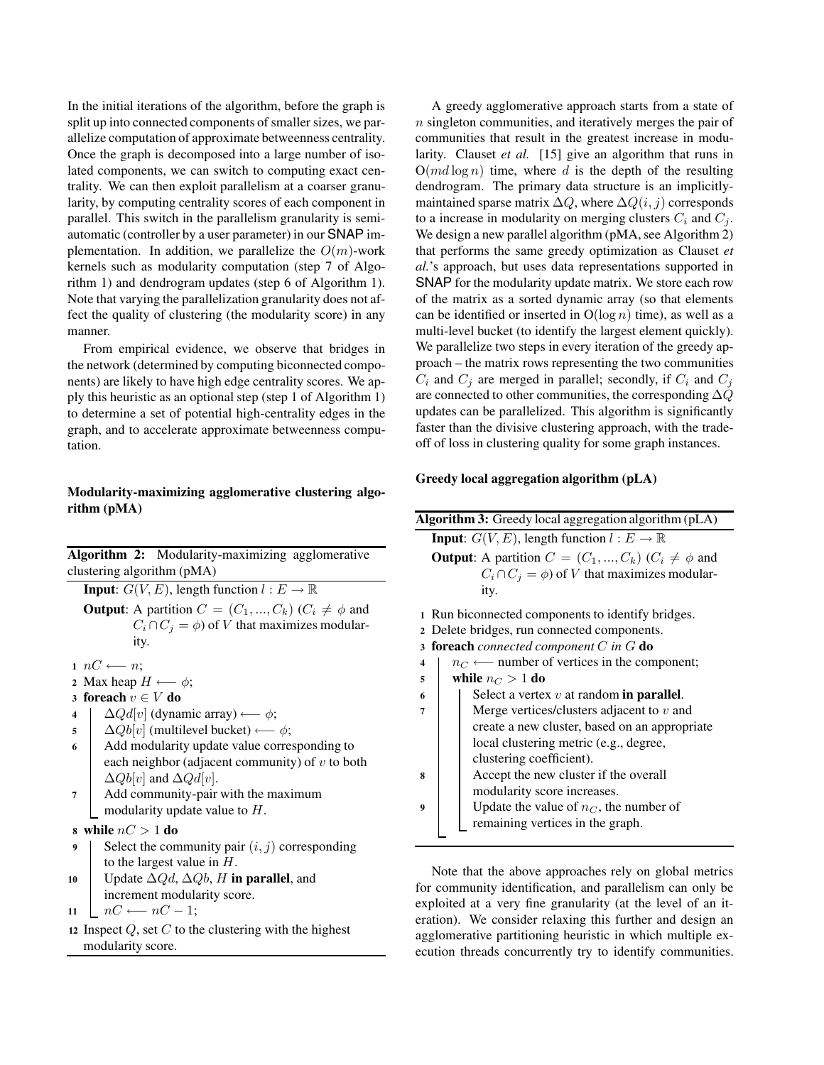In the initial iterations of the algorithm, before the graph is split up into connected components of smaller sizes, we parallelize computation of approximate betweenness centrality. Once the graph is decomposed into a large number of isolated components, we can switch to computing exact centrality. We can then exploit parallelism at a coarser granularity, by computing centrality scores of each component in parallel. This switch in the parallelism granularity is semiautomatic (controller by a user parameter) in our SNAP implementation. In addition, we parallelize the  $O(m)$ -work kernels such as modularity computation (step 7 of Algorithm 1) and dendrogram updates (step 6 of Algorithm 1). Note that varying the parallelization granularity does not affect the quality of clustering (the modularity score) in any manner.

From empirical evidence, we observe that bridges in the network (determined by computing biconnected components) are likely to have high edge centrality scores. We apply this heuristic as an optional step (step 1 of Algorithm 1) to determine a set of potential high-centrality edges in the graph, and to accelerate approximate betweenness computation.

# **Modularity-maximizing agglomerative clustering algorithm (pMA)**

| Algorithm 2: Modularity-maximizing agglomerative                                  |
|-----------------------------------------------------------------------------------|
| clustering algorithm (pMA)                                                        |
| <b>Input:</b> $G(V, E)$ , length function $l : E \to \mathbb{R}$                  |
| <b>Output:</b> A partition $C = (C_1, , C_k)$ ( $C_i \neq \phi$ and               |
| $C_i \cap C_j = \phi$ of V that maximizes modular-                                |
| ity.                                                                              |
| $n \cap C \longleftarrow n$                                                       |
| 2 Max heap $H \longleftarrow \phi$ ;                                              |
| 3 foreach $v \in V$ do                                                            |
| $\Delta Qd[v]$ (dynamic array) $\longleftarrow \phi$ ;<br>$\overline{\mathbf{4}}$ |
| $\Delta Qb[v]$ (multilevel bucket) $\longleftarrow \phi;$<br>5                    |
| Add modularity update value corresponding to<br>6                                 |
| each neighbor (adjacent community) of $v$ to both                                 |
| $\Delta Qb[v]$ and $\Delta Qd[v]$ .                                               |
| Add community-pair with the maximum<br>7                                          |
| modularity update value to $H$ .                                                  |
| while $nC > 1$ do<br>8                                                            |
| Select the community pair $(i, j)$ corresponding<br>9                             |
| to the largest value in $H$ .                                                     |
| Update $\Delta Qd$ , $\Delta Qb$ , H in parallel, and<br>10                       |
| increment modularity score.                                                       |
| $nC \longleftarrow nC - 1;$<br>11                                                 |

**11**  $\bigsqcup nC$  ←−  $nC$  − 1;<br>**12** Inspect *Q*, set *C* to the clustering with the highest modularity score.

A greedy agglomerative approach starts from a state of  $n$  singleton communities, and iteratively merges the pair of communities that result in the greatest increase in modularity. Clauset *et al.* [15] give an algorithm that runs in  $O(md \log n)$  time, where d is the depth of the resulting dendrogram. The primary data structure is an implicitlymaintained sparse matrix  $\Delta Q$ , where  $\Delta Q(i, j)$  corresponds to a increase in modularity on merging clusters  $C_i$  and  $C_j$ . We design a new parallel algorithm (pMA, see Algorithm 2) that performs the same greedy optimization as Clauset *et al.*'s approach, but uses data representations supported in SNAP for the modularity update matrix. We store each row of the matrix as a sorted dynamic array (so that elements can be identified or inserted in  $O(\log n)$  time), as well as a multi-level bucket (to identify the largest element quickly). We parallelize two steps in every iteration of the greedy approach – the matrix rows representing the two communities  $C_i$  and  $C_j$  are merged in parallel; secondly, if  $C_i$  and  $C_j$ are connected to other communities, the corresponding  $\Delta Q$ updates can be parallelized. This algorithm is significantly faster than the divisive clustering approach, with the tradeoff of loss in clustering quality for some graph instances.

#### **Greedy local aggregation algorithm (pLA)**

|                                                                                                                                | <b>Algorithm 3:</b> Greedy local aggregation algorithm (pLA)     |  |  |  |  |
|--------------------------------------------------------------------------------------------------------------------------------|------------------------------------------------------------------|--|--|--|--|
|                                                                                                                                | <b>Input:</b> $G(V, E)$ , length function $l : E \to \mathbb{R}$ |  |  |  |  |
| <b>Output:</b> A partition $C = (C_1, , C_k)$ ( $C_i \neq \emptyset$ and<br>$C_i \cap C_j = \phi$ of V that maximizes modular- |                                                                  |  |  |  |  |
| ity.                                                                                                                           |                                                                  |  |  |  |  |
| 1 Run biconnected components to identify bridges.                                                                              |                                                                  |  |  |  |  |
| Delete bridges, run connected components.<br>$\overline{2}$                                                                    |                                                                  |  |  |  |  |
| 3                                                                                                                              | <b>foreach</b> connected component $C$ in $G$ <b>do</b>          |  |  |  |  |
| 4                                                                                                                              | $n_C \longleftarrow$ number of vertices in the component;        |  |  |  |  |
| 5                                                                                                                              | while $n_C > 1$ do                                               |  |  |  |  |
| 6                                                                                                                              | Select a vertex $v$ at random in parallel.                       |  |  |  |  |
| 7                                                                                                                              | Merge vertices/clusters adjacent to $v$ and                      |  |  |  |  |
|                                                                                                                                | create a new cluster, based on an appropriate                    |  |  |  |  |
|                                                                                                                                | local clustering metric (e.g., degree,                           |  |  |  |  |
|                                                                                                                                | clustering coefficient).                                         |  |  |  |  |
| 8                                                                                                                              | Accept the new cluster if the overall                            |  |  |  |  |
|                                                                                                                                | modularity score increases.                                      |  |  |  |  |
| 9                                                                                                                              | Update the value of $n_C$ , the number of                        |  |  |  |  |
|                                                                                                                                | remaining vertices in the graph.                                 |  |  |  |  |

Note that the above approaches rely on global metrics for community identification, and parallelism can only be exploited at a very fine granularity (at the level of an iteration). We consider relaxing this further and design an agglomerative partitioning heuristic in which multiple execution threads concurrently try to identify communities.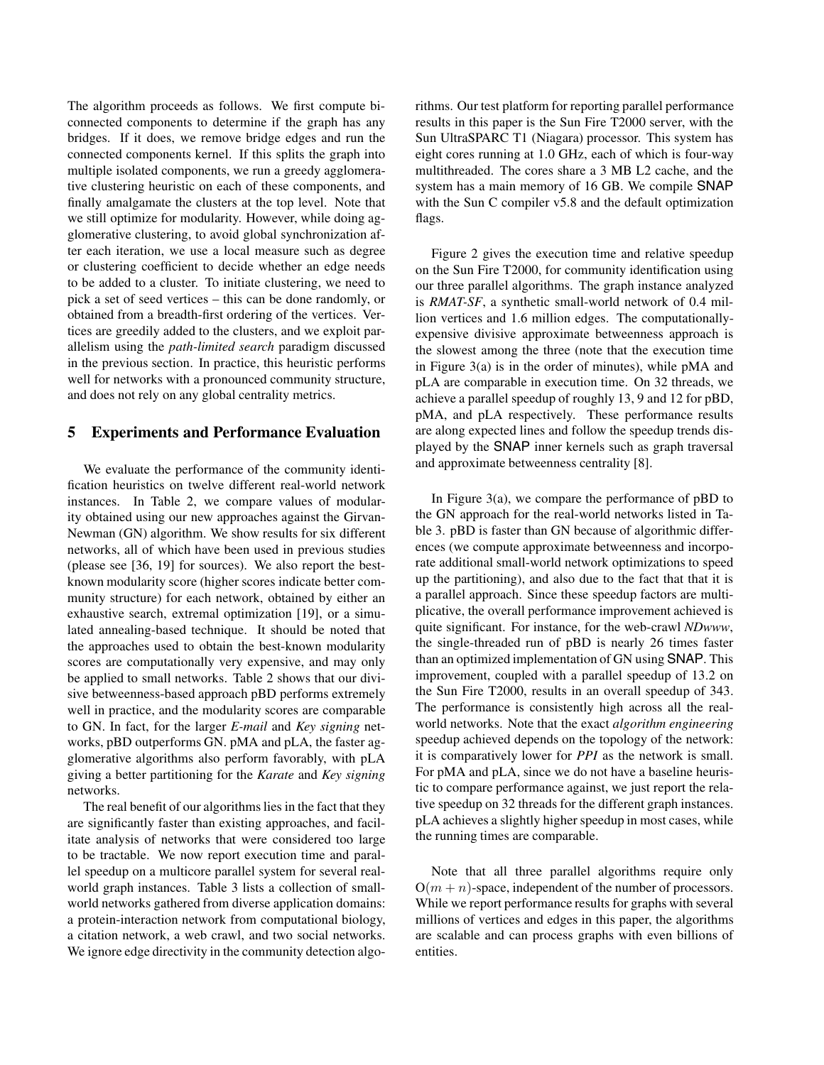The algorithm proceeds as follows. We first compute biconnected components to determine if the graph has any bridges. If it does, we remove bridge edges and run the connected components kernel. If this splits the graph into multiple isolated components, we run a greedy agglomerative clustering heuristic on each of these components, and finally amalgamate the clusters at the top level. Note that we still optimize for modularity. However, while doing agglomerative clustering, to avoid global synchronization after each iteration, we use a local measure such as degree or clustering coefficient to decide whether an edge needs to be added to a cluster. To initiate clustering, we need to pick a set of seed vertices – this can be done randomly, or obtained from a breadth-first ordering of the vertices. Vertices are greedily added to the clusters, and we exploit parallelism using the *path-limited search* paradigm discussed in the previous section. In practice, this heuristic performs well for networks with a pronounced community structure, and does not rely on any global centrality metrics.

## **5 Experiments and Performance Evaluation**

We evaluate the performance of the community identification heuristics on twelve different real-world network instances. In Table 2, we compare values of modularity obtained using our new approaches against the Girvan-Newman (GN) algorithm. We show results for six different networks, all of which have been used in previous studies (please see [36, 19] for sources). We also report the bestknown modularity score (higher scores indicate better community structure) for each network, obtained by either an exhaustive search, extremal optimization [19], or a simulated annealing-based technique. It should be noted that the approaches used to obtain the best-known modularity scores are computationally very expensive, and may only be applied to small networks. Table 2 shows that our divisive betweenness-based approach pBD performs extremely well in practice, and the modularity scores are comparable to GN. In fact, for the larger *E-mail* and *Key signing* networks, pBD outperforms GN. pMA and pLA, the faster agglomerative algorithms also perform favorably, with pLA giving a better partitioning for the *Karate* and *Key signing* networks.

The real benefit of our algorithms lies in the fact that they are significantly faster than existing approaches, and facilitate analysis of networks that were considered too large to be tractable. We now report execution time and parallel speedup on a multicore parallel system for several realworld graph instances. Table 3 lists a collection of smallworld networks gathered from diverse application domains: a protein-interaction network from computational biology, a citation network, a web crawl, and two social networks. We ignore edge directivity in the community detection algorithms. Our test platform for reporting parallel performance results in this paper is the Sun Fire T2000 server, with the Sun UltraSPARC T1 (Niagara) processor. This system has eight cores running at 1.0 GHz, each of which is four-way multithreaded. The cores share a 3 MB L2 cache, and the system has a main memory of 16 GB. We compile SNAP with the Sun C compiler v5.8 and the default optimization flags.

Figure 2 gives the execution time and relative speedup on the Sun Fire T2000, for community identification using our three parallel algorithms. The graph instance analyzed is *RMAT-SF*, a synthetic small-world network of 0.4 million vertices and 1.6 million edges. The computationallyexpensive divisive approximate betweenness approach is the slowest among the three (note that the execution time in Figure 3(a) is in the order of minutes), while pMA and pLA are comparable in execution time. On 32 threads, we achieve a parallel speedup of roughly 13, 9 and 12 for pBD, pMA, and pLA respectively. These performance results are along expected lines and follow the speedup trends displayed by the SNAP inner kernels such as graph traversal and approximate betweenness centrality [8].

In Figure 3(a), we compare the performance of pBD to the GN approach for the real-world networks listed in Table 3. pBD is faster than GN because of algorithmic differences (we compute approximate betweenness and incorporate additional small-world network optimizations to speed up the partitioning), and also due to the fact that that it is a parallel approach. Since these speedup factors are multiplicative, the overall performance improvement achieved is quite significant. For instance, for the web-crawl *NDwww*, the single-threaded run of pBD is nearly 26 times faster than an optimized implementation of GN using SNAP. This improvement, coupled with a parallel speedup of 13.2 on the Sun Fire T2000, results in an overall speedup of 343. The performance is consistently high across all the realworld networks. Note that the exact *algorithm engineering* speedup achieved depends on the topology of the network: it is comparatively lower for *PPI* as the network is small. For pMA and pLA, since we do not have a baseline heuristic to compare performance against, we just report the relative speedup on 32 threads for the different graph instances. pLA achieves a slightly higher speedup in most cases, while the running times are comparable.

Note that all three parallel algorithms require only  $O(m + n)$ -space, independent of the number of processors. While we report performance results for graphs with several millions of vertices and edges in this paper, the algorithms are scalable and can process graphs with even billions of entities.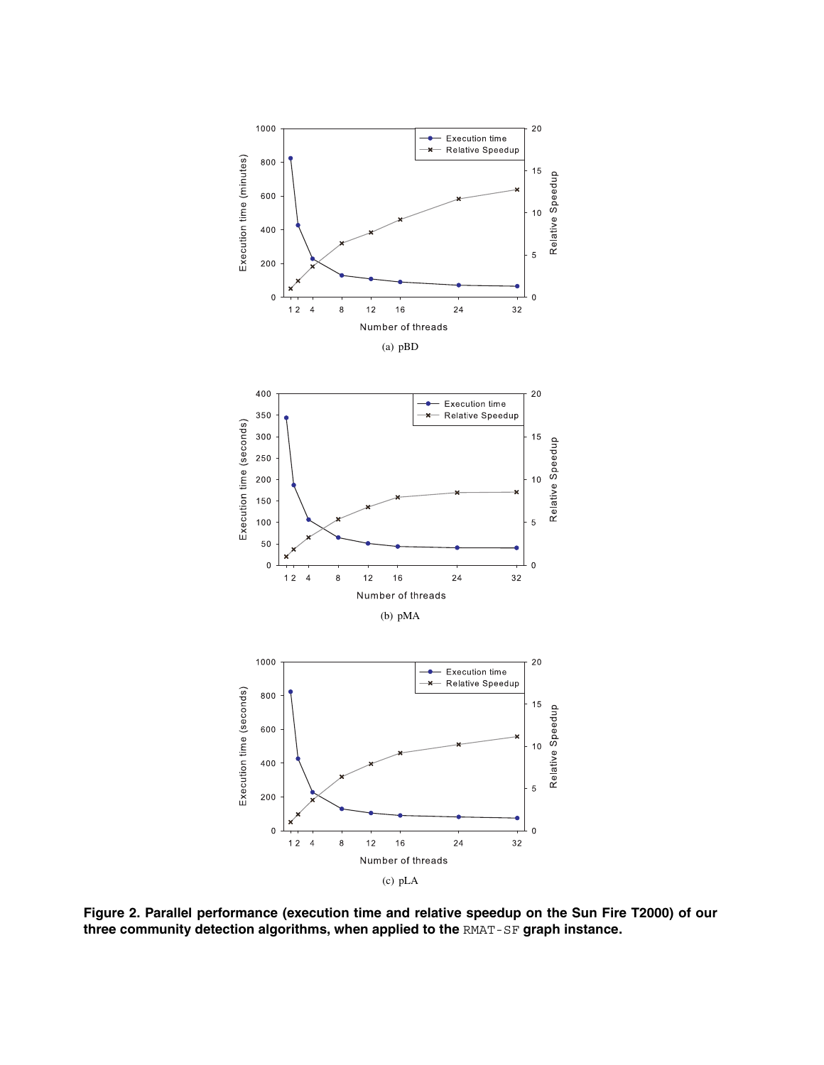

**Figure 2. Parallel performance (execution time and relative speedup on the Sun Fire T2000) of our three community detection algorithms, when applied to the** RMAT-SF **graph instance.**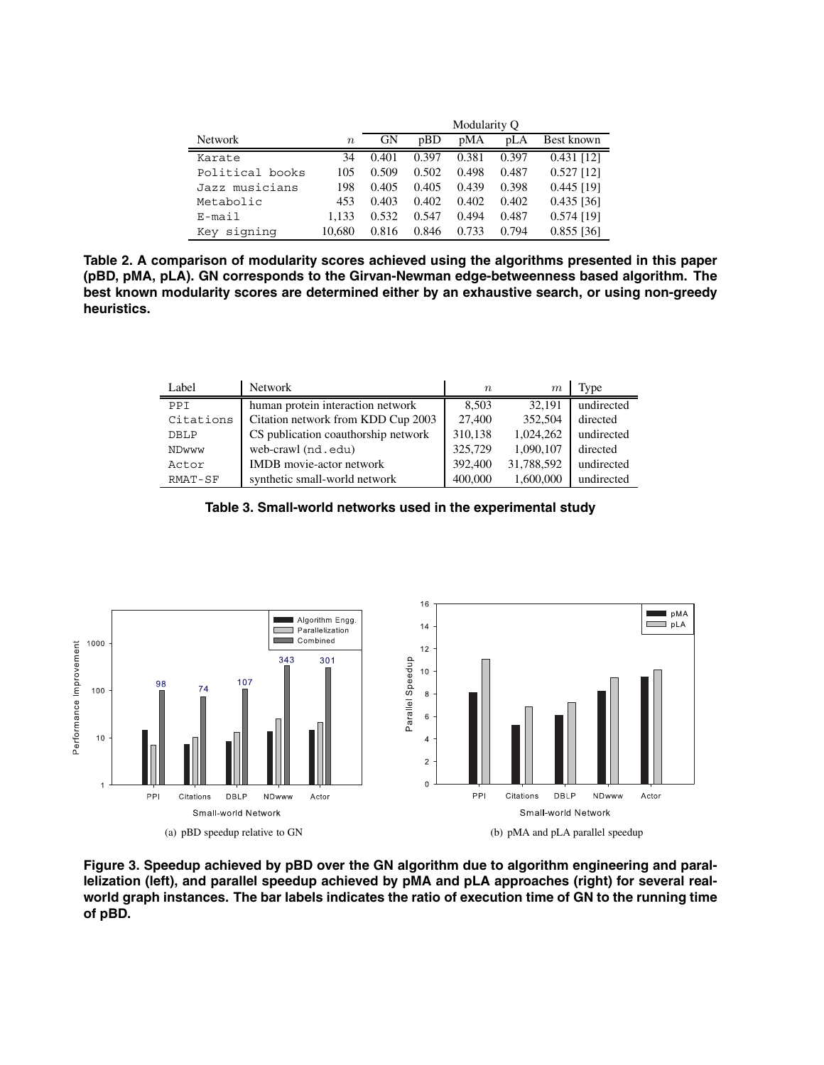|                 |                  | Modularity O |       |       |       |              |
|-----------------|------------------|--------------|-------|-------|-------|--------------|
| <b>Network</b>  | $\boldsymbol{n}$ | GN           | pBD   | pMA   | pLA   | Best known   |
| Karate          | 34               | 0.401        | 0.397 | 0.381 | 0.397 | $0.431$ [12] |
| Political books | 105              | 0.509        | 0.502 | 0.498 | 0.487 | $0.527$ [12] |
| Jazz musicians  | 198              | 0.405        | 0.405 | 0.439 | 0.398 | $0.445$ [19] |
| Metabolic       | 453              | 0.403        | 0.402 | 0.402 | 0.402 | $0.435$ [36] |
| $E$ -mail       | 1.133            | 0.532        | 0.547 | 0.494 | 0.487 | 0.574 [19]   |
| Key signing     | 10.680           | 0.816        | 0.846 | 0.733 | 0.794 | $0.855$ [36] |

**Table 2. A comparison of modularity scores achieved using the algorithms presented in this paper (pBD, pMA, pLA). GN corresponds to the Girvan-Newman edge-betweenness based algorithm. The best known modularity scores are determined either by an exhaustive search, or using non-greedy heuristics.**

| Label        | <b>Network</b>                      | $n_{\rm}$ | m          | Type       |
|--------------|-------------------------------------|-----------|------------|------------|
| PPI          | human protein interaction network   | 8,503     | 32.191     | undirected |
| Citations    | Citation network from KDD Cup 2003  | 27,400    | 352,504    | directed   |
| <b>DBLP</b>  | CS publication coauthorship network | 310,138   | 1,024,262  | undirected |
| <b>NDwww</b> | web-crawl (nd.edu)                  | 325,729   | 1,090,107  | directed   |
| Actor        | IMDB movie-actor network            | 392,400   | 31,788,592 | undirected |
| RMAT-SF      | synthetic small-world network       | 400,000   | 1,600,000  | undirected |

**Table 3. Small-world networks used in the experimental study**



**Figure 3. Speedup achieved by pBD over the GN algorithm due to algorithm engineering and parallelization (left), and parallel speedup achieved by pMA and pLA approaches (right) for several realworld graph instances. The bar labels indicates the ratio of execution time of GN to the running time of pBD.**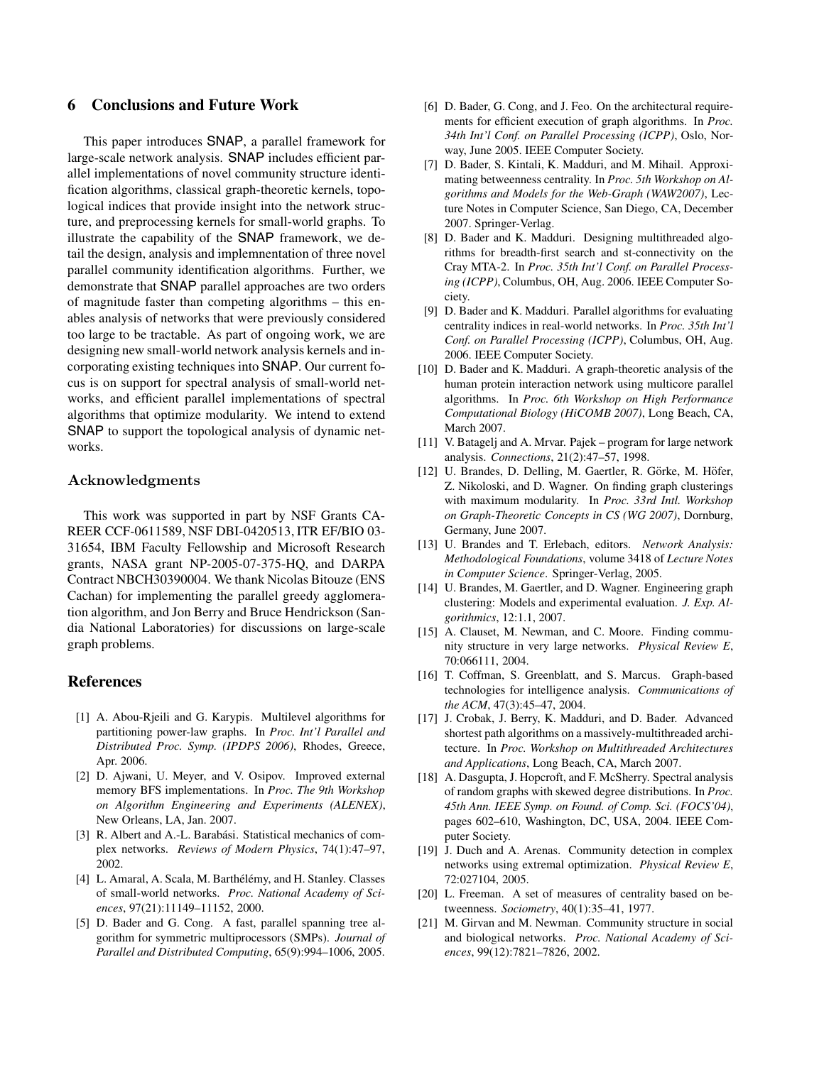# **6 Conclusions and Future Work**

This paper introduces SNAP, a parallel framework for large-scale network analysis. SNAP includes efficient parallel implementations of novel community structure identification algorithms, classical graph-theoretic kernels, topological indices that provide insight into the network structure, and preprocessing kernels for small-world graphs. To illustrate the capability of the SNAP framework, we detail the design, analysis and implemnentation of three novel parallel community identification algorithms. Further, we demonstrate that SNAP parallel approaches are two orders of magnitude faster than competing algorithms – this enables analysis of networks that were previously considered too large to be tractable. As part of ongoing work, we are designing new small-world network analysis kernels and incorporating existing techniques into SNAP. Our current focus is on support for spectral analysis of small-world networks, and efficient parallel implementations of spectral algorithms that optimize modularity. We intend to extend SNAP to support the topological analysis of dynamic networks.

#### **Acknowledgments**

This work was supported in part by NSF Grants CA-REER CCF-0611589, NSF DBI-0420513, ITR EF/BIO 03- 31654, IBM Faculty Fellowship and Microsoft Research grants, NASA grant NP-2005-07-375-HQ, and DARPA Contract NBCH30390004. We thank Nicolas Bitouze (ENS Cachan) for implementing the parallel greedy agglomeration algorithm, and Jon Berry and Bruce Hendrickson (Sandia National Laboratories) for discussions on large-scale graph problems.

# **References**

- [1] A. Abou-Rjeili and G. Karypis. Multilevel algorithms for partitioning power-law graphs. In *Proc. Int'l Parallel and Distributed Proc. Symp. (IPDPS 2006)*, Rhodes, Greece, Apr. 2006.
- [2] D. Ajwani, U. Meyer, and V. Osipov. Improved external memory BFS implementations. In *Proc. The 9th Workshop on Algorithm Engineering and Experiments (ALENEX)*, New Orleans, LA, Jan. 2007.
- [3] R. Albert and A.-L. Barabási. Statistical mechanics of complex networks. *Reviews of Modern Physics*, 74(1):47–97, 2002.
- [4] L. Amaral, A. Scala, M. Barthélémy, and H. Stanley. Classes of small-world networks. *Proc. National Academy of Sciences*, 97(21):11149–11152, 2000.
- [5] D. Bader and G. Cong. A fast, parallel spanning tree algorithm for symmetric multiprocessors (SMPs). *Journal of Parallel and Distributed Computing*, 65(9):994–1006, 2005.
- [6] D. Bader, G. Cong, and J. Feo. On the architectural requirements for efficient execution of graph algorithms. In *Proc. 34th Int'l Conf. on Parallel Processing (ICPP)*, Oslo, Norway, June 2005. IEEE Computer Society.
- [7] D. Bader, S. Kintali, K. Madduri, and M. Mihail. Approximating betweenness centrality. In *Proc. 5th Workshop on Algorithms and Models for the Web-Graph (WAW2007)*, Lecture Notes in Computer Science, San Diego, CA, December 2007. Springer-Verlag.
- [8] D. Bader and K. Madduri. Designing multithreaded algorithms for breadth-first search and st-connectivity on the Cray MTA-2. In *Proc. 35th Int'l Conf. on Parallel Processing (ICPP)*, Columbus, OH, Aug. 2006. IEEE Computer Society.
- [9] D. Bader and K. Madduri. Parallel algorithms for evaluating centrality indices in real-world networks. In *Proc. 35th Int'l Conf. on Parallel Processing (ICPP)*, Columbus, OH, Aug. 2006. IEEE Computer Society.
- [10] D. Bader and K. Madduri. A graph-theoretic analysis of the human protein interaction network using multicore parallel algorithms. In *Proc. 6th Workshop on High Performance Computational Biology (HiCOMB 2007)*, Long Beach, CA, March 2007.
- [11] V. Batagelj and A. Mrvar. Pajek program for large network analysis. *Connections*, 21(2):47–57, 1998.
- [12] U. Brandes, D. Delling, M. Gaertler, R. Görke, M. Höfer, Z. Nikoloski, and D. Wagner. On finding graph clusterings with maximum modularity. In *Proc. 33rd Intl. Workshop on Graph-Theoretic Concepts in CS (WG 2007)*, Dornburg, Germany, June 2007.
- [13] U. Brandes and T. Erlebach, editors. *Network Analysis: Methodological Foundations*, volume 3418 of *Lecture Notes in Computer Science*. Springer-Verlag, 2005.
- [14] U. Brandes, M. Gaertler, and D. Wagner. Engineering graph clustering: Models and experimental evaluation. *J. Exp. Algorithmics*, 12:1.1, 2007.
- [15] A. Clauset, M. Newman, and C. Moore. Finding community structure in very large networks. *Physical Review E*, 70:066111, 2004.
- [16] T. Coffman, S. Greenblatt, and S. Marcus. Graph-based technologies for intelligence analysis. *Communications of the ACM*, 47(3):45–47, 2004.
- [17] J. Crobak, J. Berry, K. Madduri, and D. Bader. Advanced shortest path algorithms on a massively-multithreaded architecture. In *Proc. Workshop on Multithreaded Architectures and Applications*, Long Beach, CA, March 2007.
- [18] A. Dasgupta, J. Hopcroft, and F. McSherry. Spectral analysis of random graphs with skewed degree distributions. In *Proc. 45th Ann. IEEE Symp. on Found. of Comp. Sci. (FOCS'04)*, pages 602–610, Washington, DC, USA, 2004. IEEE Computer Society.
- [19] J. Duch and A. Arenas. Community detection in complex networks using extremal optimization. *Physical Review E*, 72:027104, 2005.
- [20] L. Freeman. A set of measures of centrality based on betweenness. *Sociometry*, 40(1):35–41, 1977.
- [21] M. Girvan and M. Newman. Community structure in social and biological networks. *Proc. National Academy of Sciences*, 99(12):7821–7826, 2002.